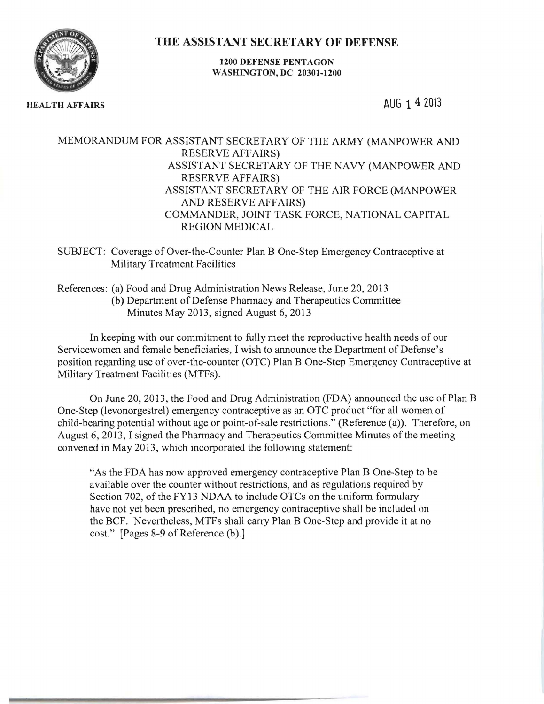THE ASSISTANT SECRETARY OF DEFENSE



1200 DEFENSE PENTAGON WASHINGTON, DC 20301-1200

HEALTH AFFAIRS AUG 1 4 2013

## MEMORANDUM FOR ASSISTANT SECRETARY OF THE ARMY (MANPOWER AND RESERVE AFFAIRS) ASSISTANT SECRETARY OF THE NAVY (MANPOWER AND RESERVE AFFAIRS) ASSISTANT SECRETARY OF THE AIR FORCE (MANPOWER AND RESERVE AFFAIRS) COMMANDER, JOINT TASK FORCE, NATIONAL CAPITAL REGION MEDICAL

SUBJECT: Coverage of Over-the-Counter Plan B One-Step Emergency Contraceptive at Military Treatment Facilities

References: (a) Food and Drug Administration News Release, June 20,2013 (b) Department of Defense Pharmacy and Therapeutics Committee Minutes May 2013, signed August 6, 2013

In keeping with our commitment to fully meet the reproductive health needs of our Servicewomen and female beneficiaries, I wish to announce the Department of Defense's position regarding use of over-the-counter (OTC) Plan B One-Step Emergency Contraceptive at Military Treatment Facilities (MTFs).

On June 20,2013, the Food and Drug Administration (FDA) announced the use of Plan B One-Step (levonorgestrel) emergency contraceptive as an OTC product "for all women of child-bearing potential without age or point-of-sale restrictions." (Reference (a)). Therefore, on August 6, 2013, I signed the Pharmacy and Therapeutics Committee Minutes of the meeting convened in May 2013, which incorporated the following statement:

"As the FDA has now approved emergency contraceptive Plan B One-Step to be available over the counter without restrictions, and as regulations required by Section 702, of the FY13 NDAA to include OTCs on the uniform formulary have not yet been prescribed, no emergency contraceptive shall be included on the BCF. Nevertheless, MTFs shall carry Plan B One-Step and provide it at no cost." [Pages 8-9 of Reference (b).]